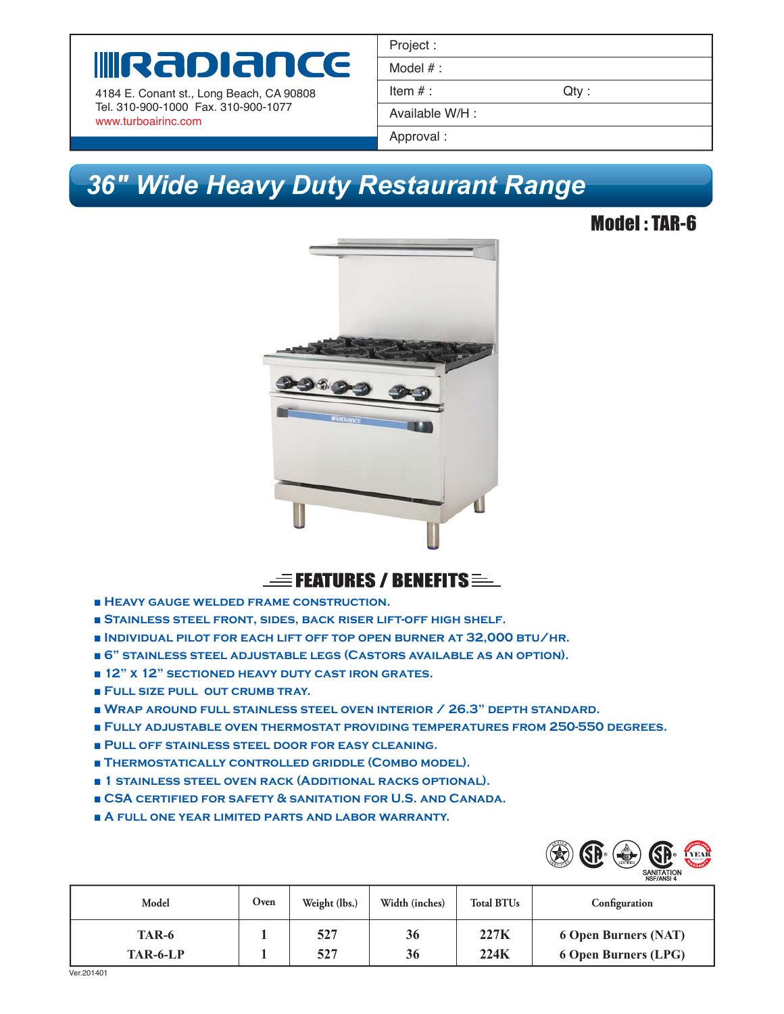# **INRADIANCE**

4184 E. Conant st., Long Beach, CA 90808 Tel. 310-900-1000 Fax. 310-900-1077 www.turboairinc.com

| Project:        |      |
|-----------------|------|
| Model $#$ :     |      |
| Item $#$ :      | Qty: |
| Available W/H : |      |
| Approval:       |      |

## *36" Wide Heavy Duty Restaurant Range 36"*

### Model : TAR-6





- **Heavy gauge welded frame construction.**
- **Stainless steel front, sides, back riser lift-off high shelf.**
- **Individual pilot for each lift off top open burner at 32,000 btu/hr.**
- **6" stainless steel adjustable legs (Castors available as an option).**
- **12" x 12" SECTIONED HEAVY DUTY CAST IRON GRATES.**
- **Full size pull out crumb tray.**
- **Wrap around full stainless steel oven interior / 26.3" depth standard.**
- **Fully adjustable oven thermostat providing temperatures from 250-550 degrees.**
- ■ **Pull off stainless steel door for easy cleaning.**
- **Thermostatically controlled griddle (Combo model).**
- **1 stainless steel oven rack (Additional racks optional).**
- **CSA certified for safety & sanitation for U.S. and Canada.**
- **A full one year limited parts and labor warranty.**



| Model    | Oven | Weight (lbs.) | Width (inches) | <b>Total BTUs</b> | Configuration               |
|----------|------|---------------|----------------|-------------------|-----------------------------|
| TAR-6    |      | 527           | 36             | 227K              | <b>6 Open Burners (NAT)</b> |
| TAR-6-LP |      | 527           | 36             | 224K              | <b>6 Open Burners (LPG)</b> |